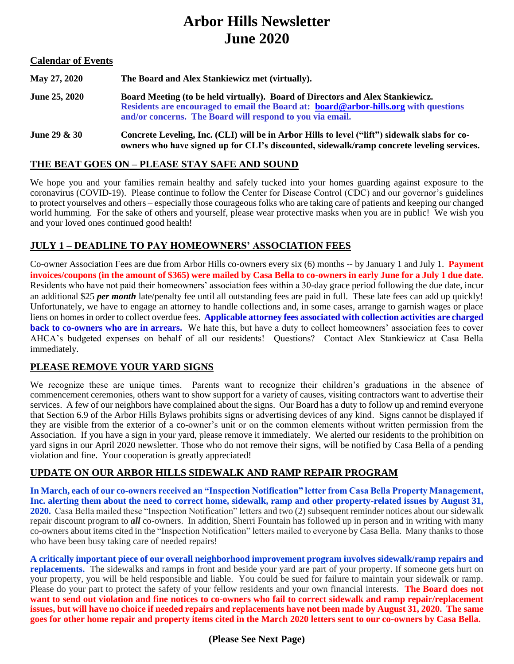# **Arbor Hills Newsletter June 2020**

#### **Calendar of Events**

| May 27, 2020         | The Board and Alex Stankiewicz met (virtually).                                                                                                                                                                                     |
|----------------------|-------------------------------------------------------------------------------------------------------------------------------------------------------------------------------------------------------------------------------------|
| <b>June 25, 2020</b> | Board Meeting (to be held virtually). Board of Directors and Alex Stankiewicz.<br>Residents are encouraged to email the Board at: board@arbor-hills.org with questions<br>and/or concerns. The Board will respond to you via email. |
| June 29 $\&$ 30      | Concrete Leveling, Inc. (CLI) will be in Arbor Hills to level ("lift") sidewalk slabs for co-<br>owners who have signed up for CLI's discounted, sidewalk/ramp concrete leveling services.                                          |

#### **THE BEAT GOES ON – PLEASE STAY SAFE AND SOUND**

We hope you and your families remain healthy and safely tucked into your homes guarding against exposure to the coronavirus (COVID-19). Please continue to follow the Center for Disease Control (CDC) and our governor's guidelines to protect yourselves and others – especially those courageous folks who are taking care of patients and keeping our changed world humming. For the sake of others and yourself, please wear protective masks when you are in public! We wish you and your loved ones continued good health!

### **JULY 1 – DEADLINE TO PAY HOMEOWNERS' ASSOCIATION FEES**

Co-owner Association Fees are due from Arbor Hills co-owners every six (6) months -- by January 1 and July 1. **Payment invoices/coupons (in the amount of \$365) were mailed by Casa Bella to co-owners in early June for a July 1 due date.** Residents who have not paid their homeowners' association fees within a 30-day grace period following the due date, incur an additional \$25 *per month* late/penalty fee until all outstanding fees are paid in full. These late fees can add up quickly! Unfortunately, we have to engage an attorney to handle collections and, in some cases, arrange to garnish wages or place liens on homes in order to collect overdue fees. **Applicable attorney fees associated with collection activities are charged back to co-owners who are in arrears.** We hate this, but have a duty to collect homeowners' association fees to cover AHCA's budgeted expenses on behalf of all our residents! Questions? Contact Alex Stankiewicz at Casa Bella immediately.

### **PLEASE REMOVE YOUR YARD SIGNS**

We recognize these are unique times. Parents want to recognize their children's graduations in the absence of commencement ceremonies, others want to show support for a variety of causes, visiting contractors want to advertise their services. A few of our neighbors have complained about the signs. Our Board has a duty to follow up and remind everyone that Section 6.9 of the Arbor Hills Bylaws prohibits signs or advertising devices of any kind. Signs cannot be displayed if they are visible from the exterior of a co-owner's unit or on the common elements without written permission from the Association. If you have a sign in your yard, please remove it immediately. We alerted our residents to the prohibition on yard signs in our April 2020 newsletter. Those who do not remove their signs, will be notified by Casa Bella of a pending violation and fine. Your cooperation is greatly appreciated!

### **UPDATE ON OUR ARBOR HILLS SIDEWALK AND RAMP REPAIR PROGRAM**

**In March, each of our co-owners received an "Inspection Notification" letter from Casa Bella Property Management, Inc. alerting them about the need to correct home, sidewalk, ramp and other property-related issues by August 31, 2020.** Casa Bella mailed these "Inspection Notification" letters and two (2) subsequent reminder notices about our sidewalk repair discount program to *all* co-owners. In addition, Sherri Fountain has followed up in person and in writing with many co-owners about items cited in the "Inspection Notification" letters mailed to everyone by Casa Bella. Many thanks to those who have been busy taking care of needed repairs!

**A critically important piece of our overall neighborhood improvement program involves sidewalk/ramp repairs and replacements.** The sidewalks and ramps in front and beside your yard are part of your property. If someone gets hurt on your property, you will be held responsible and liable. You could be sued for failure to maintain your sidewalk or ramp. Please do your part to protect the safety of your fellow residents and your own financial interests. **The Board does not want to send out violation and fine notices to co-owners who fail to correct sidewalk and ramp repair/replacement issues, but will have no choice if needed repairs and replacements have not been made by August 31, 2020. The same goes for other home repair and property items cited in the March 2020 letters sent to our co-owners by Casa Bella.**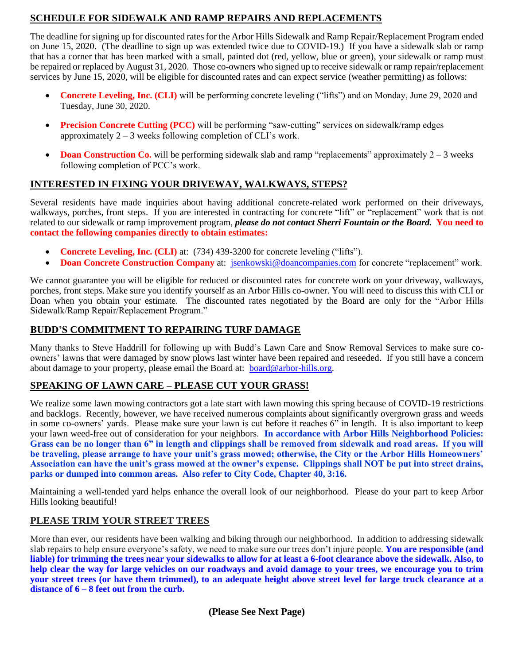# **SCHEDULE FOR SIDEWALK AND RAMP REPAIRS AND REPLACEMENTS**

The deadline for signing up for discounted rates for the Arbor Hills Sidewalk and Ramp Repair/Replacement Program ended on June 15, 2020. (The deadline to sign up was extended twice due to COVID-19.) If you have a sidewalk slab or ramp that has a corner that has been marked with a small, painted dot (red, yellow, blue or green), your sidewalk or ramp must be repaired or replaced by August 31, 2020. Those co-owners who signed up to receive sidewalk or ramp repair/replacement services by June 15, 2020, will be eligible for discounted rates and can expect service (weather permitting) as follows:

- **Concrete Leveling, Inc. (CLI)** will be performing concrete leveling ("lifts") and on Monday, June 29, 2020 and Tuesday, June 30, 2020.
- **Precision Concrete Cutting (PCC)** will be performing "saw-cutting" services on sidewalk/ramp edges approximately 2 – 3 weeks following completion of CLI's work.
- **Doan Construction Co.** will be performing sidewalk slab and ramp "replacements" approximately 2 3 weeks following completion of PCC's work.

# **INTERESTED IN FIXING YOUR DRIVEWAY, WALKWAYS, STEPS?**

Several residents have made inquiries about having additional concrete-related work performed on their driveways, walkways, porches, front steps. If you are interested in contracting for concrete "lift" or "replacement" work that is not related to our sidewalk or ramp improvement program, *please do not contact Sherri Fountain or the Board.* **You need to contact the following companies directly to obtain estimates:** 

- **Concrete Leveling, Inc. (CLI)** at: (734) 439-3200 for concrete leveling ("lifts").
- **Doan Concrete Construction Company** at: [jsenkowski@doancompanies.com](mailto:jsenkowski@doancompanies.com) for concrete "replacement" work.

We cannot guarantee you will be eligible for reduced or discounted rates for concrete work on your driveway, walkways, porches, front steps. Make sure you identify yourself as an Arbor Hills co-owner. You will need to discuss this with CLI or Doan when you obtain your estimate. The discounted rates negotiated by the Board are only for the "Arbor Hills Sidewalk/Ramp Repair/Replacement Program."

### **BUDD'S COMMITMENT TO REPAIRING TURF DAMAGE**

Many thanks to Steve Haddrill for following up with Budd's Lawn Care and Snow Removal Services to make sure coowners' lawns that were damaged by snow plows last winter have been repaired and reseeded. If you still have a concern about damage to your property, please email the Board at: [board@arbor-hills.org.](mailto:board@arbor-hills.org)

### **SPEAKING OF LAWN CARE – PLEASE CUT YOUR GRASS!**

We realize some lawn mowing contractors got a late start with lawn mowing this spring because of COVID-19 restrictions and backlogs. Recently, however, we have received numerous complaints about significantly overgrown grass and weeds in some co-owners' yards. Please make sure your lawn is cut before it reaches 6" in length. It is also important to keep your lawn weed-free out of consideration for your neighbors. **In accordance with Arbor Hills Neighborhood Policies: Grass can be no longer than 6" in length and clippings shall be removed from sidewalk and road areas. If you will be traveling, please arrange to have your unit's grass mowed; otherwise, the City or the Arbor Hills Homeowners' Association can have the unit's grass mowed at the owner's expense. Clippings shall NOT be put into street drains, parks or dumped into common areas. Also refer to City Code, Chapter 40, 3:16.**

Maintaining a well-tended yard helps enhance the overall look of our neighborhood. Please do your part to keep Arbor Hills looking beautiful!

### **PLEASE TRIM YOUR STREET TREES**

More than ever, our residents have been walking and biking through our neighborhood. In addition to addressing sidewalk slab repairs to help ensure everyone's safety, we need to make sure our trees don't injure people. **You are responsible (and liable) for trimming the trees near your sidewalks to allow for at least a 6-foot clearance above the sidewalk. Also, to help clear the way for large vehicles on our roadways and avoid damage to your trees, we encourage you to trim your street trees (or have them trimmed), to an adequate height above street level for large truck clearance at a distance of 6 – 8 feet out from the curb.**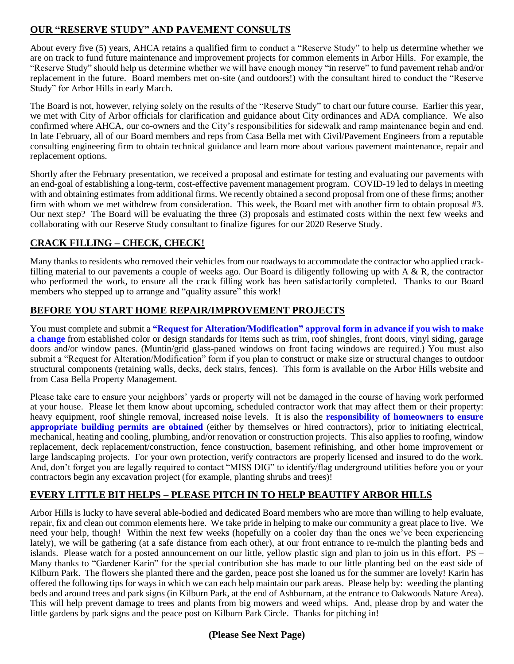# **OUR "RESERVE STUDY" AND PAVEMENT CONSULTS**

About every five (5) years, AHCA retains a qualified firm to conduct a "Reserve Study" to help us determine whether we are on track to fund future maintenance and improvement projects for common elements in Arbor Hills. For example, the "Reserve Study" should help us determine whether we will have enough money "in reserve" to fund pavement rehab and/or replacement in the future. Board members met on-site (and outdoors!) with the consultant hired to conduct the "Reserve Study" for Arbor Hills in early March.

The Board is not, however, relying solely on the results of the "Reserve Study" to chart our future course. Earlier this year, we met with City of Arbor officials for clarification and guidance about City ordinances and ADA compliance. We also confirmed where AHCA, our co-owners and the City's responsibilities for sidewalk and ramp maintenance begin and end. In late February, all of our Board members and reps from Casa Bella met with Civil/Pavement Engineers from a reputable consulting engineering firm to obtain technical guidance and learn more about various pavement maintenance, repair and replacement options.

Shortly after the February presentation, we received a proposal and estimate for testing and evaluating our pavements with an end-goal of establishing a long-term, cost-effective pavement management program. COVID-19 led to delays in meeting with and obtaining estimates from additional firms. We recently obtained a second proposal from one of these firms; another firm with whom we met withdrew from consideration. This week, the Board met with another firm to obtain proposal #3. Our next step? The Board will be evaluating the three (3) proposals and estimated costs within the next few weeks and collaborating with our Reserve Study consultant to finalize figures for our 2020 Reserve Study.

# **CRACK FILLING – CHECK, CHECK!**

Many thanks to residents who removed their vehicles from our roadways to accommodate the contractor who applied crackfilling material to our pavements a couple of weeks ago. Our Board is diligently following up with  $A \& R$ , the contractor who performed the work, to ensure all the crack filling work has been satisfactorily completed. Thanks to our Board members who stepped up to arrange and "quality assure" this work!

# **BEFORE YOU START HOME REPAIR/IMPROVEMENT PROJECTS**

You must complete and submit a **"Request for Alteration/Modification" approval form in advance if you wish to make a change** from established color or design standards for items such as trim, roof shingles, front doors, vinyl siding, garage doors and/or window panes. (Muntin/grid glass-paned windows on front facing windows are required.) You must also submit a "Request for Alteration/Modification" form if you plan to construct or make size or structural changes to outdoor structural components (retaining walls, decks, deck stairs, fences). This form is available on the Arbor Hills website and from Casa Bella Property Management.

Please take care to ensure your neighbors' yards or property will not be damaged in the course of having work performed at your house. Please let them know about upcoming, scheduled contractor work that may affect them or their property: heavy equipment, roof shingle removal, increased noise levels. It is also the **responsibility of homeowners to ensure appropriate building permits are obtained** (either by themselves or hired contractors), prior to initiating electrical, mechanical, heating and cooling, plumbing, and/or renovation or construction projects. This also applies to roofing, window replacement, deck replacement/construction, fence construction, basement refinishing, and other home improvement or large landscaping projects. For your own protection, verify contractors are properly licensed and insured to do the work. And, don't forget you are legally required to contact "MISS DIG" to identify/flag underground utilities before you or your contractors begin any excavation project (for example, planting shrubs and trees)!

# **EVERY LITTLE BIT HELPS – PLEASE PITCH IN TO HELP BEAUTIFY ARBOR HILLS**

Arbor Hills is lucky to have several able-bodied and dedicated Board members who are more than willing to help evaluate, repair, fix and clean out common elements here. We take pride in helping to make our community a great place to live. We need your help, though! Within the next few weeks (hopefully on a cooler day than the ones we've been experiencing lately), we will be gathering (at a safe distance from each other), at our front entrance to re-mulch the planting beds and islands. Please watch for a posted announcement on our little, yellow plastic sign and plan to join us in this effort. PS – Many thanks to "Gardener Karin" for the special contribution she has made to our little planting bed on the east side of Kilburn Park. The flowers she planted there and the garden, peace post she loaned us for the summer are lovely! Karin has offered the following tips for ways in which we can each help maintain our park areas. Please help by: weeding the planting beds and around trees and park signs (in Kilburn Park, at the end of Ashburnam, at the entrance to Oakwoods Nature Area). This will help prevent damage to trees and plants from big mowers and weed whips. And, please drop by and water the little gardens by park signs and the peace post on Kilburn Park Circle. Thanks for pitching in!

### **(Please See Next Page)**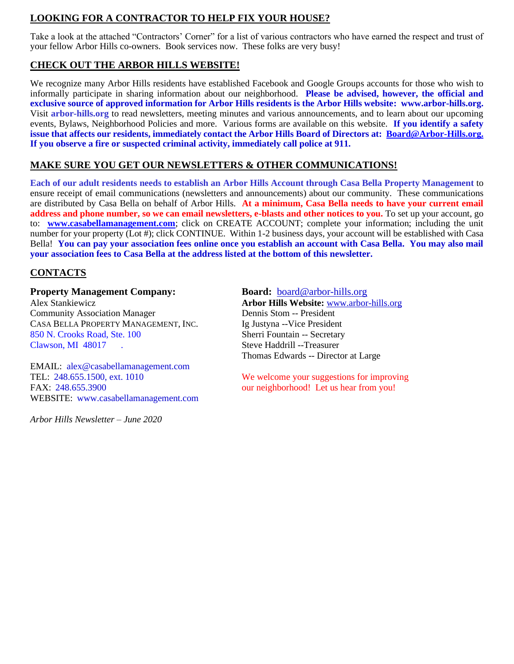# **LOOKING FOR A CONTRACTOR TO HELP FIX YOUR HOUSE?**

Take a look at the attached "Contractors' Corner" for a list of various contractors who have earned the respect and trust of your fellow Arbor Hills co-owners. Book services now. These folks are very busy!

# **CHECK OUT THE ARBOR HILLS WEBSITE!**

We recognize many Arbor Hills residents have established Facebook and Google Groups accounts for those who wish to informally participate in sharing information about our neighborhood. **Please be advised, however, the official and exclusive source of approved information for Arbor Hills residents is the Arbor Hills website: www.arbor-hills.org.**  Visit **arbor-hills.org** to read newsletters, meeting minutes and various announcements, and to learn about our upcoming events, Bylaws, Neighborhood Policies and more. Various forms are available on this website. **If you identify a safety issue that affects our residents, immediately contact the Arbor Hills Board of Directors at: [Board@Arbor-Hills.org.](mailto:Board@Arbor-Hills.org.) If you observe a fire or suspected criminal activity, immediately call police at 911.**

### **MAKE SURE YOU GET OUR NEWSLETTERS & OTHER COMMUNICATIONS!**

**Each of our adult residents needs to establish an Arbor Hills Account through Casa Bella Property Management** to ensure receipt of email communications (newsletters and announcements) about our community. These communications are distributed by Casa Bella on behalf of Arbor Hills. **At a minimum, Casa Bella needs to have your current email address and phone number, so we can email newsletters, e-blasts and other notices to you.** To set up your account, go to: **[www.casabellamanagement.com](http://www.casabellamanagement.com/)**; click on CREATE ACCOUNT; complete your information; including the unit number for your property (Lot #); click CONTINUE. Within 1-2 business days, your account will be established with Casa Bella! **You can pay your association fees online once you establish an account with Casa Bella. You may also mail your association fees to Casa Bella at the address listed at the bottom of this newsletter.**

# **CONTACTS**

#### **Property Management Company: Board:** [board@arbor-hills.org](mailto:board@arbor-hills.org)

Alex Stankiewicz **Arbor Hills Website:** [www.arbor-hills.org](http://www.arbor-hills.org/) Community Association Manager Dennis Stom -- President CASA BELLA PROPERTY MANAGEMENT, INC. Ig Justyna -- Vice President 850 N. Crooks Road, Ste. 100 Sherri Fountain -- Secretary Clawson, MI 48017 . Steve Haddrill --Treasurer

EMAIL: alex@casabellamanagement.com FAX: [248.655.3900](tel:(248)%20655-3900) our neighborhood! Let us hear from you! WEBSITE: www[.casabellamanagement.com](http://casabellamanagement.com/)

*Arbor Hills Newsletter – June 2020*

Thomas Edwards -- Director at Large

TEL: 248.655.1500, ext. 1010 We welcome your suggestions for improving